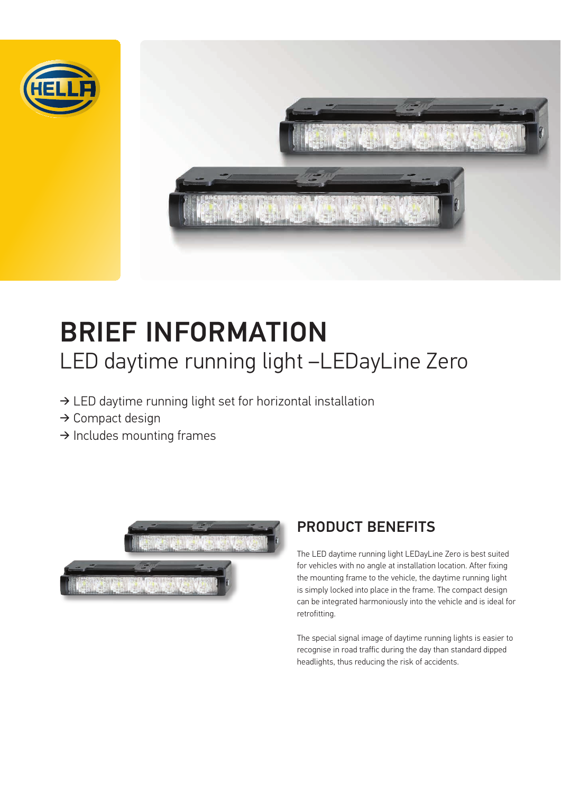



# BRIEF INFORMATION LED daytime running light –LEDayLine Zero

- $\rightarrow$  LED daytime running light set for horizontal installation
- $\rightarrow$  Compact design
- $\rightarrow$  Includes mounting frames



## PRODUCT BENEFITS

The LED daytime running light LEDayLine Zero is best suited for vehicles with no angle at installation location. After fixing the mounting frame to the vehicle, the daytime running light is simply locked into place in the frame. The compact design can be integrated harmoniously into the vehicle and is ideal for retrofitting.

The special signal image of daytime running lights is easier to recognise in road traffic during the day than standard dipped headlights, thus reducing the risk of accidents.